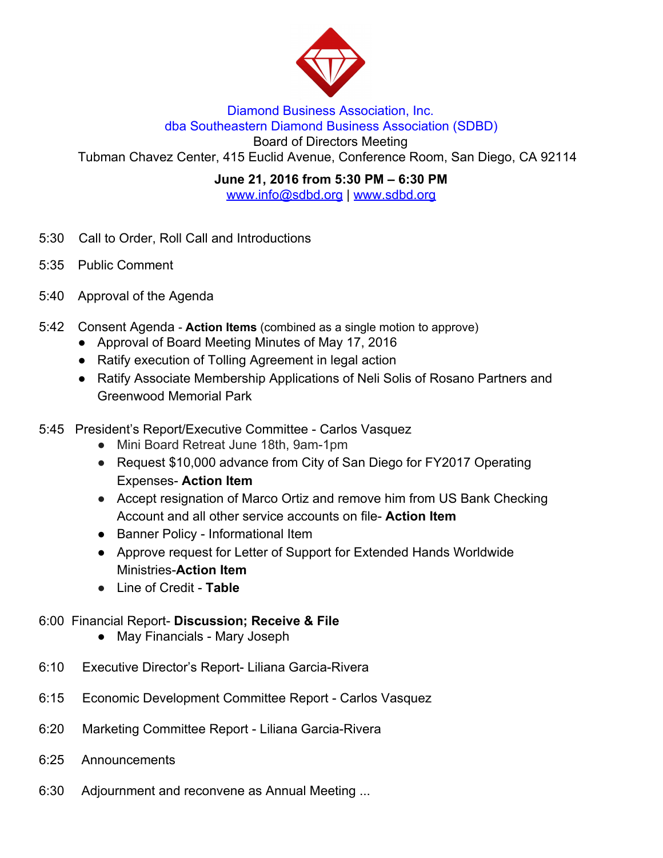

#### Diamond Business Association, Inc. dba Southeastern Diamond Business Association (SDBD)

Board of Directors Meeting

Tubman Chavez Center, 415 Euclid Avenue, Conference Room, San Diego, CA 92114

**June 21, 2016 from 5:30 PM – 6:30 PM**

www.info@sdbd.org | [www.sdbd.org](http://www.sdbd.org/)

- 5:30 Call to Order, Roll Call and Introductions
- 5:35 Public Comment
- 5:40 Approval of the Agenda
- 5:42 Consent Agenda **Action Items** (combined as a single motion to approve)
	- Approval of Board Meeting Minutes of May 17, 2016
	- Ratify execution of Tolling Agreement in legal action
	- Ratify Associate Membership Applications of Neli Solis of Rosano Partners and Greenwood Memorial Park
- 5:45 President's Report/Executive Committee Carlos Vasquez
	- Mini Board Retreat June 18th, 9am-1pm
	- **●** Request \$10,000 advance from City of San Diego for FY2017 Operating Expenses- **Action Item**
	- **●** Accept resignation of Marco Ortiz and remove him from US Bank Checking Account and all other service accounts on file- **Action Item**
	- Banner Policy Informational Item
	- Approve request for Letter of Support for Extended Hands Worldwide Ministries-**Action Item**
	- **●** Line of Credit **Table**

# 6:00 Financial Report- **Discussion; Receive & File**

- **●** May Financials Mary Joseph
- 6:10 Executive Director's Report- Liliana Garcia-Rivera
- 6:15 Economic Development Committee Report Carlos Vasquez
- 6:20 Marketing Committee Report Liliana Garcia-Rivera
- 6:25 Announcements
- 6:30 Adjournment and reconvene as Annual Meeting ...